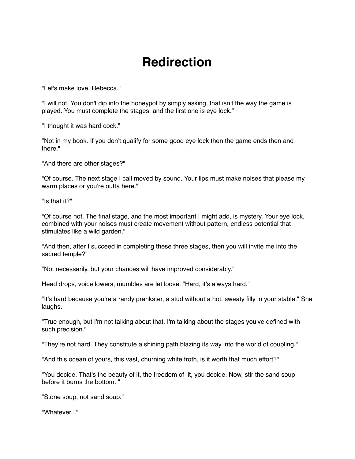## **Redirection**

"Let's make love, Rebecca."

"I will not. You don't dip into the honeypot by simply asking, that isn't the way the game is played. You must complete the stages, and the first one is eye lock."

"I thought it was hard cock."

"Not in my book. If you don't qualify for some good eye lock then the game ends then and there."

"And there are other stages?"

"Of course. The next stage I call moved by sound. Your lips must make noises that please my warm places or you're outta here."

"Is that it?"

"Of course not. The final stage, and the most important I might add, is mystery. Your eye lock, combined with your noises must create movement without pattern, endless potential that stimulates like a wild garden."

"And then, after I succeed in completing these three stages, then you will invite me into the sacred temple?"

"Not necessarily, but your chances will have improved considerably."

Head drops, voice lowers, mumbles are let loose. "Hard, it's always hard."

"It's hard because you're a randy prankster, a stud without a hot, sweaty filly in your stable." She laughs.

"True enough, but I'm not talking about that, I'm talking about the stages you've defined with such precision."

"They're not hard. They constitute a shining path blazing its way into the world of coupling."

"And this ocean of yours, this vast, churning white froth, is it worth that much effort?"

"You decide. That's the beauty of it, the freedom of it, you decide. Now, stir the sand soup before it burns the bottom. "

"Stone soup, not sand soup."

"Whatever..."